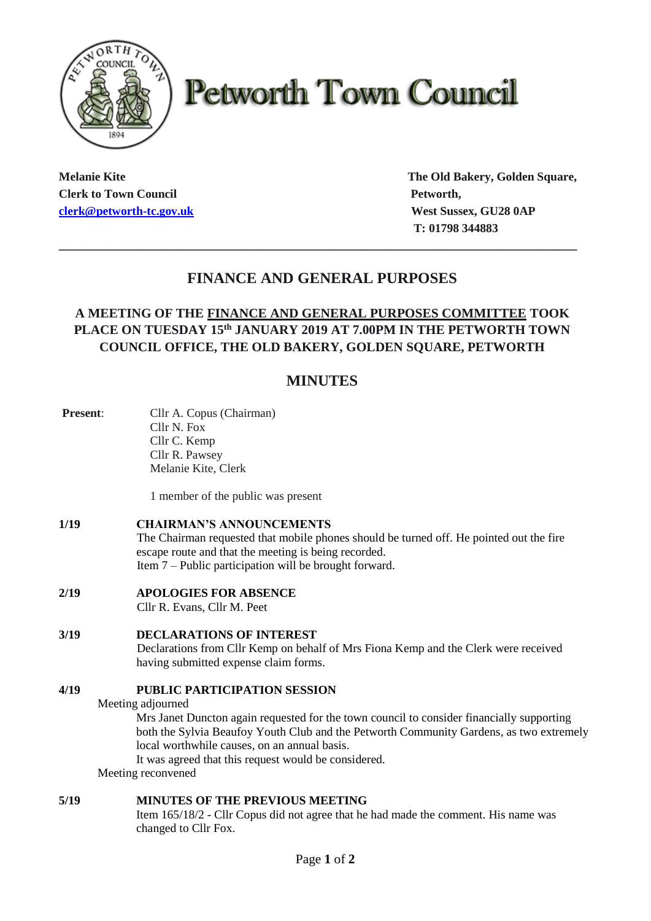

# **Petworth Town Council**

**Clerk to Town Council Petworth, Petworth, [clerk@petworth-tc.gov.uk](mailto:clerk@petworth-tc.gov.uk) West Sussex, GU28 0AP**

**Melanie Kite The Old Bakery, Golden Square, T: 01798 344883**

## **FINANCE AND GENERAL PURPOSES**

**\_\_\_\_\_\_\_\_\_\_\_\_\_\_\_\_\_\_\_\_\_\_\_\_\_\_\_\_\_\_\_\_\_\_\_\_\_\_\_\_\_\_\_\_\_\_\_\_\_\_\_\_\_\_\_\_\_\_\_\_\_\_\_\_\_\_\_\_\_\_\_\_\_\_\_\_\_\_\_**

### **A MEETING OF THE FINANCE AND GENERAL PURPOSES COMMITTEE TOOK PLACE ON TUESDAY 15 th JANUARY 2019 AT 7.00PM IN THE PETWORTH TOWN COUNCIL OFFICE, THE OLD BAKERY, GOLDEN SQUARE, PETWORTH**

## **MINUTES**

| <b>Present:</b> | Cllr A. Copus (Chairman)                                                                                                                                                           |
|-----------------|------------------------------------------------------------------------------------------------------------------------------------------------------------------------------------|
|                 | Cllr N. Fox                                                                                                                                                                        |
|                 | Cllr C. Kemp                                                                                                                                                                       |
|                 | Cllr R. Pawsey                                                                                                                                                                     |
|                 | Melanie Kite, Clerk                                                                                                                                                                |
|                 | 1 member of the public was present                                                                                                                                                 |
| 1/19            | <b>CHAIRMAN'S ANNOUNCEMENTS</b><br>The Chairman requested that mobile phones should be turned off. He pointed out the fire<br>escape route and that the meeting is being recorded. |
|                 | Item $7$ – Public participation will be brought forward.                                                                                                                           |
| 2/19            | <b>APOLOGIES FOR ABSENCE</b>                                                                                                                                                       |
|                 | Cllr R. Evans, Cllr M. Peet                                                                                                                                                        |
| 3/19            | <b>DECLARATIONS OF INTEREST</b>                                                                                                                                                    |
|                 | Declarations from Cllr Kemp on behalf of Mrs Fiona Kemp and the Clerk were received<br>having submitted expense claim forms.                                                       |
|                 |                                                                                                                                                                                    |
| 4/19            | <b>PUBLIC PARTICIPATION SESSION</b>                                                                                                                                                |
|                 | Meeting adjourned                                                                                                                                                                  |
|                 | Mrs Janet Duncton again requested for the town council to consider financially supporting                                                                                          |
|                 | both the Sylvia Beaufoy Youth Club and the Petworth Community Gardens, as two extremely<br>local worthwhile causes, on an annual basis.                                            |
|                 | It was agreed that this request would be considered.                                                                                                                               |
|                 | Meeting reconvened                                                                                                                                                                 |
| 5/19            | <b>MINUTES OF THE PREVIOUS MEETING</b>                                                                                                                                             |
|                 | Item 165/18/2 - Cllr Copus did not agree that he had made the comment. His name was<br>changed to Cllr Fox.                                                                        |